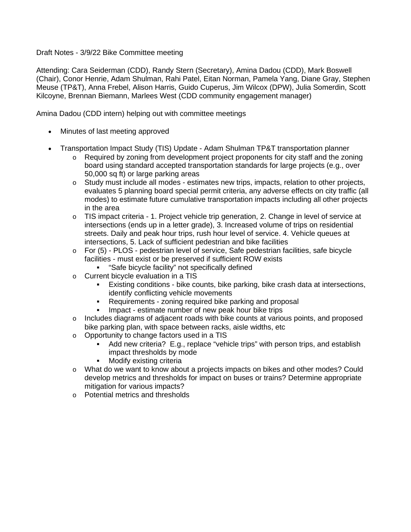### Draft Notes - 3/9/22 Bike Committee meeting

Attending: Cara Seiderman (CDD), Randy Stern (Secretary), Amina Dadou (CDD), Mark Boswell (Chair), Conor Henrie, Adam Shulman, Rahi Patel, Eitan Norman, Pamela Yang, Diane Gray, Stephen Meuse (TP&T), Anna Frebel, Alison Harris, Guido Cuperus, Jim Wilcox (DPW), Julia Somerdin, Scott Kilcoyne, Brennan Biemann, Marlees West (CDD community engagement manager)

Amina Dadou (CDD intern) helping out with committee meetings

- Minutes of last meeting approved
- Transportation Impact Study (TIS) Update Adam Shulman TP&T transportation planner
	- $\circ$  Required by zoning from development project proponents for city staff and the zoning board using standard accepted transportation standards for large projects (e.g., over 50,000 sq ft) or large parking areas
	- $\circ$  Study must include all modes estimates new trips, impacts, relation to other projects, evaluates 5 planning board special permit criteria, any adverse effects on city traffic (all modes) to estimate future cumulative transportation impacts including all other projects in the area
	- $\circ$  TIS impact criteria 1. Project vehicle trip generation, 2. Change in level of service at intersections (ends up in a letter grade), 3. Increased volume of trips on residential streets. Daily and peak hour trips, rush hour level of service. 4. Vehicle queues at intersections, 5. Lack of sufficient pedestrian and bike facilities
	- $\circ$  For (5) PLOS pedestrian level of service, Safe pedestrian facilities, safe bicycle facilities - must exist or be preserved if sufficient ROW exists
		- **EXEC** "Safe bicycle facility" not specifically defined
	- o Current bicycle evaluation in a TIS
		- Existing conditions bike counts, bike parking, bike crash data at intersections, identify conflicting vehicle movements
		- Requirements zoning required bike parking and proposal
		- Impact estimate number of new peak hour bike trips
	- $\circ$  Includes diagrams of adjacent roads with bike counts at various points, and proposed bike parking plan, with space between racks, aisle widths, etc
	- o Opportunity to change factors used in a TIS
		- Add new criteria? E.g., replace "vehicle trips" with person trips, and establish impact thresholds by mode
		- **Nodify existing criteria**
	- o What do we want to know about a projects impacts on bikes and other modes? Could develop metrics and thresholds for impact on buses or trains? Determine appropriate mitigation for various impacts?
	- o Potential metrics and thresholds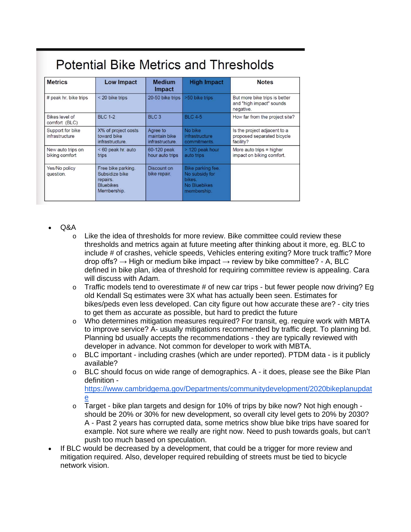| <b>Metrics</b>                      | <b>Low Impact</b>                                                                   | <b>Medium</b><br><b>Impact</b>               | <b>High Impact</b>                                                           | <b>Notes</b>                                                            |
|-------------------------------------|-------------------------------------------------------------------------------------|----------------------------------------------|------------------------------------------------------------------------------|-------------------------------------------------------------------------|
| # peak hr. bike trips               | < 20 bike trips                                                                     | 20-50 bike trips                             | >50 bike trips                                                               | But more bike trips is better<br>and "high impact" sounds<br>negative.  |
| Bikes level of<br>comfort (BLC)     | <b>BLC 1-2</b>                                                                      | BLC <sub>3</sub>                             | <b>BLC 4-5</b>                                                               | How far from the project site?                                          |
| Support for bike<br>infrastructure  | X% of project costs<br>toward bike<br>infrastructure.                               | Agree to<br>maintain bike<br>infrastructure. | No bike<br>infrastructure<br>commitments.                                    | Is the project adjacent to a<br>proposed separated bicycle<br>facility? |
| New auto trips on<br>biking comfort | < 60 peak hr. auto<br>trips                                                         | 60-120 peak<br>hour auto trips               | > 120 peak hour<br>auto trips                                                | More auto trips $=$ higher<br>impact on biking comfort.                 |
| Yes/No policy<br>question.          | Free bike parking.<br>Subsidize bike<br>repairs.<br><b>Bluebikes</b><br>Membership. | Discount on<br>bike repair.                  | Bike parking fee.<br>No subsidy for<br>bikes.<br>No Bluebikes<br>membership. |                                                                         |

# Potential Rike Metrics and Thresholds

- $O$ &A
	- $\circ$  Like the idea of thresholds for more review. Bike committee could review these thresholds and metrics again at future meeting after thinking about it more, eg. BLC to include # of crashes, vehicle speeds, Vehicles entering exiting? More truck traffic? More drop offs?  $\rightarrow$  High or medium bike impact  $\rightarrow$  review by bike committee? - A, BLC defined in bike plan, idea of threshold for requiring committee review is appealing. Cara will discuss with Adam.
	- $\circ$  Traffic models tend to overestimate # of new car trips but fewer people now driving? Eg old Kendall Sq estimates were 3X what has actually been seen. Estimates for bikes/peds even less developed. Can city figure out how accurate these are? - city tries to get them as accurate as possible, but hard to predict the future
	- o Who determines mitigation measures required? For transit, eg. require work with MBTA to improve service? A- usually mitigations recommended by traffic dept. To planning bd. Planning bd usually accepts the recommendations - they are typically reviewed with developer in advance. Not common for developer to work with MBTA.
	- $\circ$  BLC important including crashes (which are under reported). PTDM data is it publicly available?
	- $\circ$  BLC should focus on wide range of demographics. A it does, please see the Bike Plan definition -

[https://www.cambridgema.gov/Departments/communitydevelopment/2020bikeplanupdat](https://www.cambridgema.gov/Departments/communitydevelopment/2020bikeplanupdate) [e](https://www.cambridgema.gov/Departments/communitydevelopment/2020bikeplanupdate)

- $\circ$  Target bike plan targets and design for 10% of trips by bike now? Not high enough should be 20% or 30% for new development, so overall city level gets to 20% by 2030? A - Past 2 years has corrupted data, some metrics show blue bike trips have soared for example. Not sure where we really are right now. Need to push towards goals, but can't push too much based on speculation.
- If BLC would be decreased by a development, that could be a trigger for more review and mitigation required. Also, developer required rebuilding of streets must be tied to bicycle network vision.